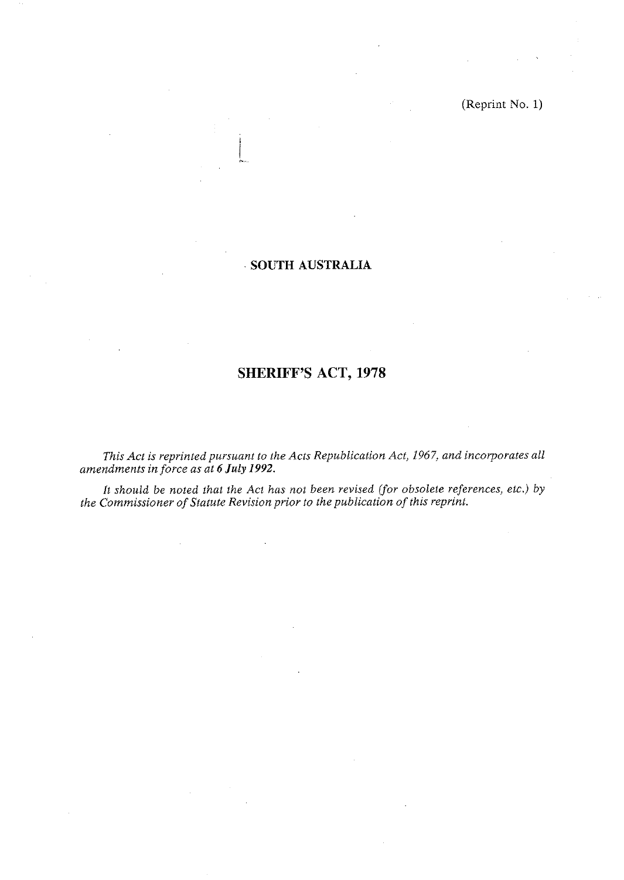(Reprint No. 1)

# **SOUTH AUSTRALIA**

# **SHERIFF'S ACT, 1978**

*This Act is reprinted pursuant to the Acts Republication Act, 1967, and incorporates all amendments in force as at 6 July 1992.* 

*It should be noted that the Act has not been revised (for obsolete references, etc.) by the Commissioner of Statute Revision prior to the publication of this reprint.*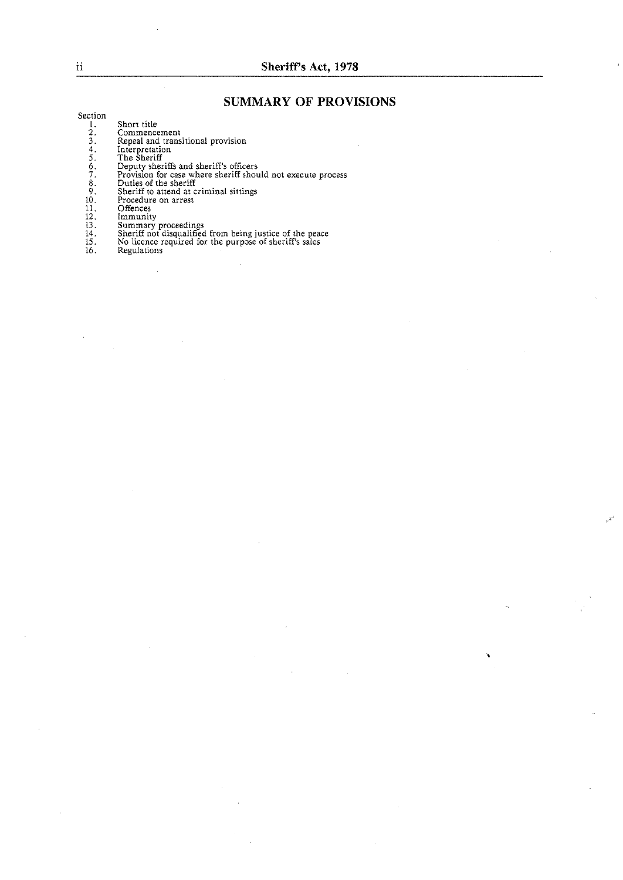# **SUMMARY OF PROVISIONS**

Section

- 1. Short title
- 
- 2. Commencement<br>3. Repeal and transitional provision<br>4. Interpretation<br>5. The Sheriff
- 
- 
- Deputy sheriffs and sheriff's officers<br>Provision for case where sheriff should not execute process
- Duties of the sheriff Sheriff to attend at criminal sittings
- 
- Procedure on arrest **Offence<**
- 
- 
- 

 $\bar{z}$ 

- 13. Summary proceedings<br>14. Sheriff not disqualified from being justice of the peace<br>15. No licence required for the purpose of sheriff's sales
- 16. Regulations

 $\mathcal{L}$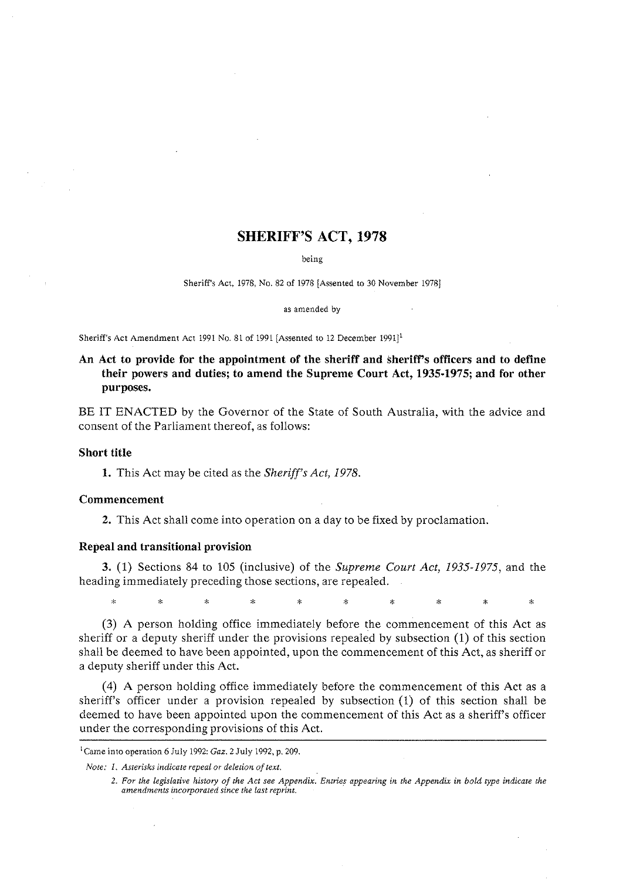# **SHERIFF'S ACT, 1978**

being

Sheriff's Act. 1978, No. 82 of 1978 [Assented to 30 November 19781

as amended by

Sheriff's Act Amendment Act 1991 No. 81 of 1991 [Assented to 12 December 1991]'

# **An Act to provide for the appointment of the sheriff and sheriffs officers and to define their powers and duties; to amend the Supreme Court Act, 1935-1975; and for other purposes.**

BE IT ENACTED by the Governor of the State of South Australia, with the advice and consent of the Parliament thereof, as follows:

#### **Short title**

**1.** This Act may be cited as the **Sheriff's** *Act, 1978.* 

#### **Commencement**

**2.** This Act shall come into operation on a day to be fixed by proclamation.

#### **Repeal and transitional provision**

**3.** (1) Sections 84 to 105 (inclusive) of the Supreme *Court Act, 1935-1975,* and the heading immediately preceding those sections, are repealed.

ų. ٠. ų, k.  $\ddot{\phantom{0}}$  $\Delta$ 

**(3)** A person holding office immediately before the commencement of this Act as sheriff or a deputy sheriff under the provisions repealed by subsection (1) of this section shall be deemed to have been appointed, upon the commencement of this Act, as sheriff or a deputy sheriff under this Act.

(4) A person holding office immediately before the commencement of this Act as a sheriff's officer under a provision repealed by subsection (1) of this section shall be deemed to have been appointed upon the commencement of this Act as a sheriff's officer under the corresponding provisions of this Act.

'Came into operation 6 July 1992: *Gar.* 2 July 1992. p. 209

*Note:* 1. *Asterisks indicate repeal or deletion of text.* 

<sup>2.</sup> For the legislative history of the Act see Appendix. Entries appearing in the Appendix in bold type indicate the amendments incorporated since the last reprint.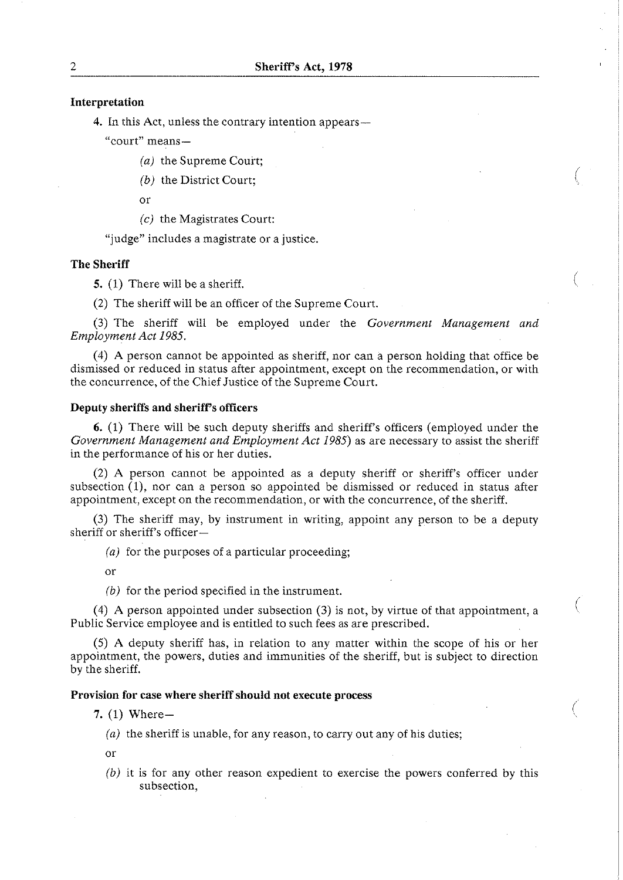### **Interpretation**

4. In this Act, unless the contrary intention appears—

" court" means-

*(a)* the Supreme Court;

*(b)* the District Court;

or

*(c)* the Magistrates Court:

"judge" includes a magistrate or a justice.

#### **The Sheriff**

**5.** (1) There will be a sheriff.

(2) The sheriff will be an officer of the Supreme Court.

(3) The sheriff will be employed under the *Government Management and Employment Act* 1985.

(4) A person cannot be appointed as sheriff, nor can a person holding that office be dismissed or reduced in status after appointment, except on the recommendation, or with the concurrence, of the Chief Justice of the Supreme Court.

### **Deputy sheriffs and sheriff's officers**

6. (1) There will be such deputy sheriffs and sheriffs officers (employed under the *Government Management and Employment Act* 1985) as are necessary to assist the sheriff in the performance of his or her duties.

(2) A person cannot be appointed as a deputy sheriff or sheriff's officer under subsection  $(1)$ , nor can a person so appointed be dismissed or reduced in status after appointment, except on the recommendation, or with the concurrence, of the sheriff.

(3) The sheriff may, by instrument in writing, appoint any person to be a deputy sheriff or sheriff's officer-

*(a)* for the purposes of a particular proceeding;

or

(b) for the period specified in the instrument.

(4) A person appointed under subsection (3) is not, by virtue of that appointment, a Public Service employee and is entitled to such fees as are prescribed.

(5) A deputy sheriff has, in relation to any matter within the scope of his or her appointment, the powers, duties and immunities of the sheriff, but is subject to direction by the sheriff.

### **Provision for case where sheriff should not execute process**

- **7.** (1) Where-
	- (a) the sheriff is unable, for any reason, to carry out any of his duties;
	- or
	- *(b)* it is for any other reason expedient to exercise the powers conferred by this subsection,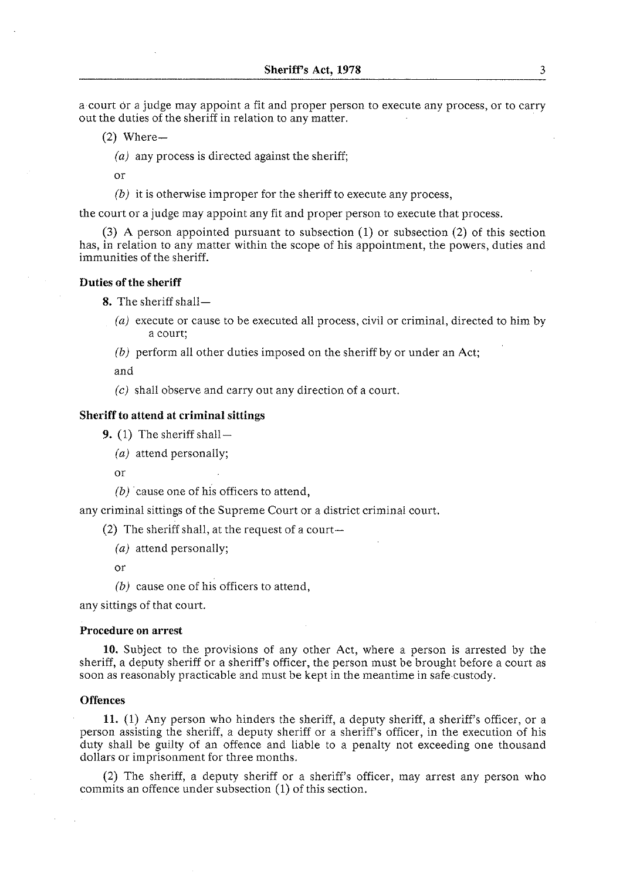a court or a judge may appoint a fit and proper person to execute any process, or to carry out the duties of the sheriff in relation to any matter.

- $(2)$  Where-
	- *(a)* any process is directed against the sheriff;

or

*(b)* it is otherwise improper for the sheriff to execute any process,

the court or a judge may appoint any fit and proper person to execute that process.

**(3)** A person appointed pursuant to subsection (1) or subsection (2) of this section has, in relation to any matter within the scope of his appointment, the powers, duties and immunities of the sheriff.

#### **Duties of the sheriff**

8. The sheriff shall-

- (a) execute or cause to be executed all process, civil or criminal, directed to him by a court;
- *(b)* perform all other duties imposed on the sheriff by or under an Act;

and

(c) shall observe and carry out any direction of a court.

#### **Sheriff to attend at criminal sittings**

**9.**  $(1)$  The sheriff shall –

*(a)* attend personally;

or

*(b)* cause one of his officers to attend,

any criminal sittings of the Supreme Court or a district criminal court.

(2) The sheriff shall, at the request of a court-

*(a)* attend personally;

or

*(b)* cause one of his officers to attend,

any sittings of that court.

#### **Procedure on arrest**

**10.** Subject to the provisions of any other Act, where a person is arrested by the sheriff, a deputy sheriff or a sheriff's officer, the person must be brought before a court as soon as reasonably practicable and must be kept in the meantime in safe custody.

#### **Offences**

**11.** (1) Any person who hinders the sheriff, a deputy sheriff, a sheriff's officer, or a person assisting the sheriff, a deputy sheriff or a sheriff's officer, in the execution of his duty shall be guilty of an offence and liable to a penalty not exceeding one thousand dollars or imprisonment for three months.

(2) The sheriff, a deputy sheriff or a sheriff's officer, may arrest any person who commits an offence under subsection (1) of this section.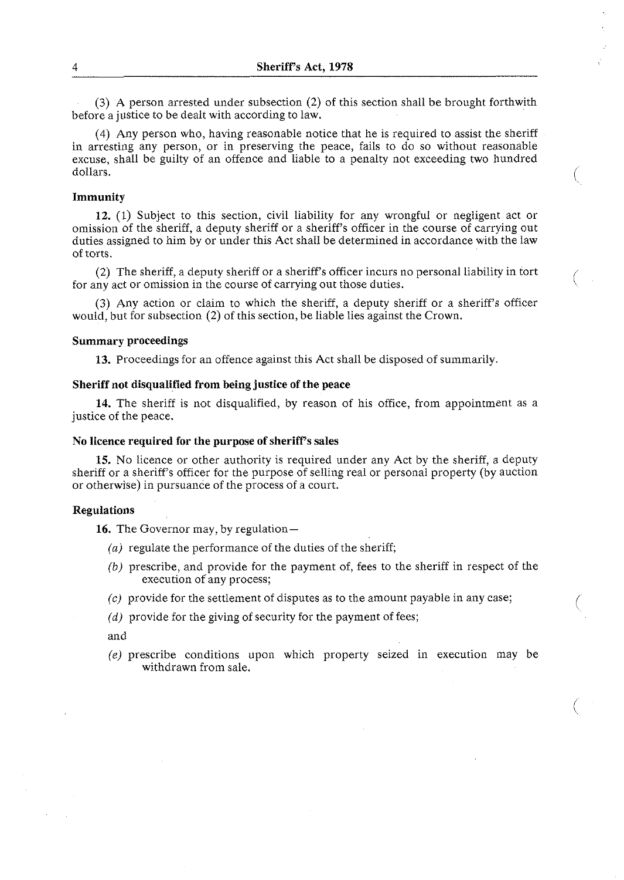**(3)** A person arrested under subsection (2) of this section shall be brought forthwith before a justice to be dealt with according to law.

(4) Any person who, having reasonable notice that he is required to assist the sheriff in arresting any person, or in preserving the peace, fails to do so without reasonable excuse, shall be guilty of an offence and liable to a penalty not exceeding two hundred dollars.

#### **Immunity**

**12.** (1) Subject to this section, civil liability for any wrongful or negligent act or omission of the sheriff, a deputy sheriff or a sheriff's officer in the course of carrying out duties assigned to him by or under this Act shall be determined in accordance with the law of torts.

(2) The sheriff, a deputy sheriff or a sheriff's officer incurs no personal liability in tort for any act or omission in the course of carrying out those duties.

**(3)** Any action or claim to which the sheriff, a deputy sheriff or a sheriff's officer would, but for subsection (2) of this section, be liable lies against the Crown.

#### **Summary proceedings**

**13.** Proceedings for an offence against this Act shall be disposed of summarily.

#### **Sheriff not disqualified from being justice of the peace**

**14.** The sheriff is not disqualified, by reason of his office, from appointment as a justice of the peace.

#### **No licence required for the purpose of sheriff's sales**

**15.** No licence or other authority is required under any Act by the sheriff, a deputy sheriff or a sheriff's officer for the purpose of selling real or personal property (by auction or otherwise) in pursuance of the process of a court.

#### **Regulations**

16. The Governor may, by regulation-

- (a) regulate the performance of the duties of the sheriff;
- (b) prescribe, and provide for the payment of, fees to the sheriff in respect of the execution of any process;
- $(c)$  provide for the settlement of disputes as to the amount payable in any case;
- (d) provide for the giving of security for the payment of fees;

and

*(e)* prescribe conditions upon which property seized in execution may be withdrawn from sale.